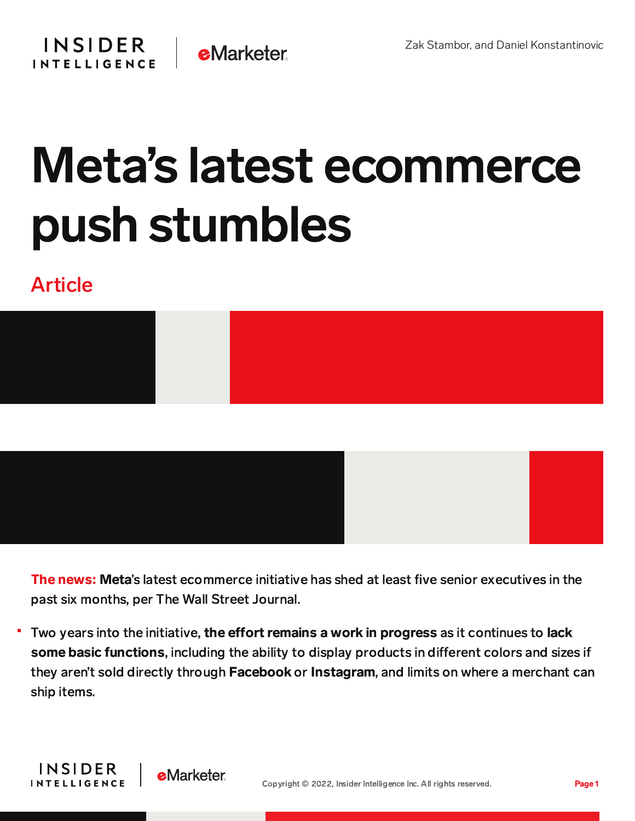## Meta's latest ecommerce push stumbles

## Article



The news: Meta's latest ecommerce initiative has shed at least five senior executives in the past six months, per The Wall Street Journal.

Two years into the initiative, the effort remains a work in progress as it continues to lack some basic functions, including the ability to display products in different colors and sizes if they aren't sold directly through Facebook or Instagram, and limits on where a merchant can ship items.

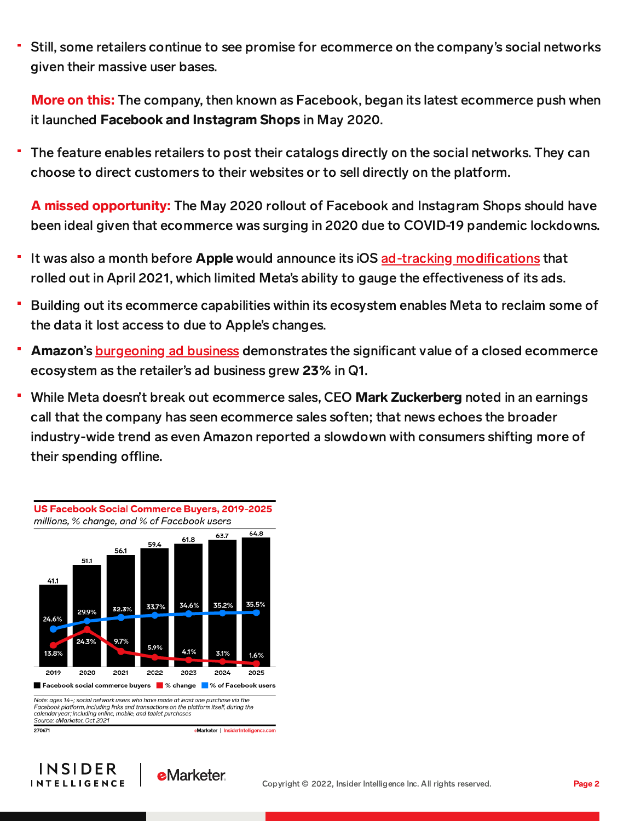Still, some retailers continue to see promise for ecommerce on the company's social networks given their massive user bases.

More on this: The company, then known as Facebook, began its latest ecommerce push when it launched Facebook and Instagram Shops in May 2020.

The feature enables retailers to post their catalogs directly on the social networks. They can choose to direct customers to their websites or to sell directly on the platform.

A missed opportunity: The May 2020 rollout of Facebook and Instagram Shops should have been ideal given that ecommerce was surging in 2020 due to COVID-19 pandemic lockdowns.

- It was also a month before Apple would announce its iOS ad-tracking [modifications](https://content-na2.emarketer.com/shakeout-apple-privacy-update) that rolled out in April 2021, which limited Meta's ability to gauge the effectiveness of its ads.
- Building out its ecommerce capabilities within its ecosystem enables Meta to reclaim some of the data it lost access to due to Apple's changes.
- Amazon's **[burgeoning](https://content-na1.emarketer.com/amazon-s-booming-ad-business-buffers-company-s-first-quarterly-loss-since-2015) ad business** demonstrates the significant value of a closed ecommerce ecosystem as the retailer's ad business grew 23% in Q1.
- While Meta doesn't break out ecommerce sales, CEO Mark Zuckerberg noted in an earnings call that the company has seen ecommerce sales soften; that news echoes the broader industry-wide trend as even Amazon reported a slowdown with consumers shifting more of their spending offline.



Note: ages 14+; social network users who have made at least one purchase via the Facebook platform, including links and transactions on the platform itself, during the calendar year; including online, mobile, and tablet purchases<br>Source: eMarketer, Oct 2021

eMarketer | InsiderIntelligence.com

270671

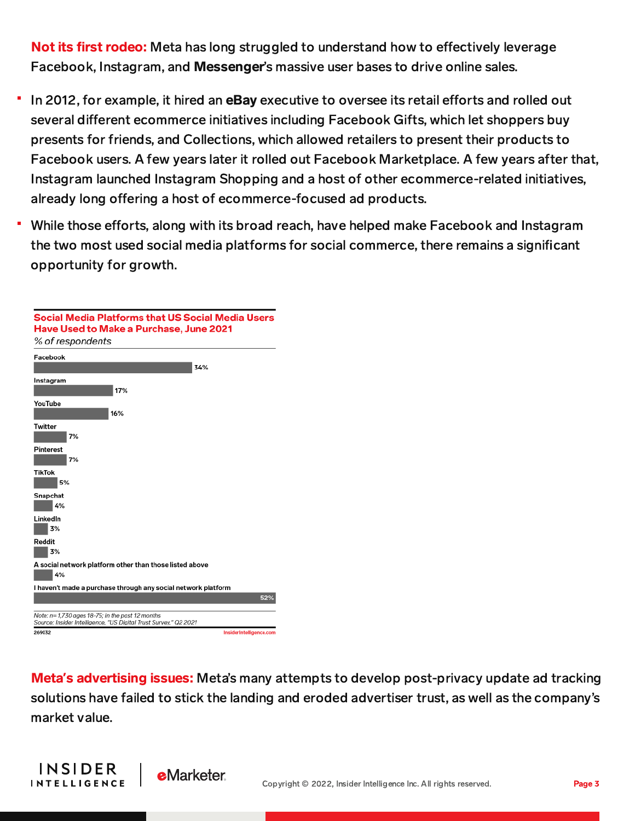Not its first rodeo: Meta has long struggled to understand how to effectively leverage Facebook, Instagram, and Messenger's massive user bases to drive online sales.

- In 2012, for example, it hired an **eBay** executive to oversee its retail efforts and rolled out several different ecommerce initiatives including Facebook Gifts, which let shoppers buy presents for friends, and Collections, which allowed retailers to present their products to Facebook users. A few years later it rolled out Facebook Marketplace. A few years after that, Instagram launched Instagram Shopping and a host of other ecommerce-related initiatives, already long offering a host of ecommerce-focused ad products.
- While those efforts, along with its broad reach, have helped make Facebook and Instagram the two most used social media platforms for social commerce, there remains a significant opportunity for growth.

| Social Media Platforms that US Social Media Users<br>Have Used to Make a Purchase, June 2021<br>% of respondents     |                         |
|----------------------------------------------------------------------------------------------------------------------|-------------------------|
| Facebook                                                                                                             |                         |
| 34%                                                                                                                  |                         |
| Instagram                                                                                                            |                         |
| 17%                                                                                                                  |                         |
| YouTube<br>16%                                                                                                       |                         |
| Twitter<br>7%                                                                                                        |                         |
| Pinterest<br>7%                                                                                                      |                         |
| TikTok<br>5%                                                                                                         |                         |
| Snapchat<br>4%                                                                                                       |                         |
| LinkedIn<br>3%                                                                                                       |                         |
| Reddit<br>3%                                                                                                         |                         |
| A social network platform other than those listed above<br>4%                                                        |                         |
| I haven't made a purchase through any social network platform                                                        |                         |
|                                                                                                                      | 52%                     |
| Note: n= 1,730 ages 18-75; in the past 12 months<br>Source: Insider Intelligence, "US Digital Trust Survey," Q2 2021 |                         |
| 269032                                                                                                               | InsiderIntelligence.com |

Meta**'**s advertising issues: Meta's many attempts to develop post-privacy update ad tracking solutions have failed to stick the landing and eroded advertiser trust, as well as the company's market value.